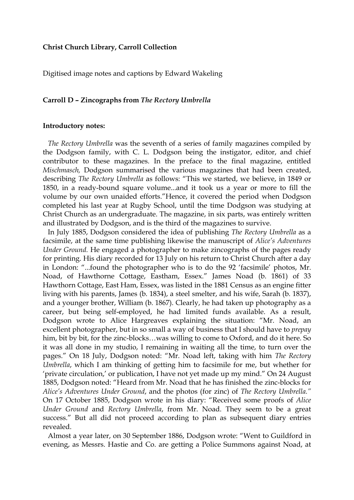## **Christ Church Library, Carroll Collection**

Digitised image notes and captions by Edward Wakeling

## **Carroll D – Zincographs from** *The Rectory Umbrella*

## **Introductory notes:**

 *The Rectory Umbrella* was the seventh of a series of family magazines compiled by the Dodgson family, with C. L. Dodgson being the instigator, editor, and chief contributor to these magazines. In the preface to the final magazine, entitled *Mischmasch,* Dodgson summarised the various magazines that had been created, describing *The Rectory Umbrella* as follows: "This we started, we believe, in 1849 or 1850, in a ready-bound square volume...and it took us a year or more to fill the volume by our own unaided efforts."Hence, it covered the period when Dodgson completed his last year at Rugby School, until the time Dodgson was studying at Christ Church as an undergraduate. The magazine, in six parts, was entirely written and illustrated by Dodgson, and is the third of the magazines to survive.

 In July 1885, Dodgson considered the idea of publishing *The Rectory Umbrella* as a facsimile, at the same time publishing likewise the manuscript of *Alice's Adventures Under Ground.* He engaged a photographer to make zincographs of the pages ready for printing. His diary recorded for 13 July on his return to Christ Church after a day in London: "...found the photographer who is to do the 92 'facsimile' photos, Mr. Noad, of Hawthorne Cottage, Eastham, Essex." James Noad (b. 1861) of 33 Hawthorn Cottage, East Ham, Essex, was listed in the 1881 Census as an engine fitter living with his parents, James (b. 1834), a steel smelter, and his wife, Sarah (b. 1837), and a younger brother, William (b. 1867). Clearly, he had taken up photography as a career, but being self-employed, he had limited funds available. As a result, Dodgson wrote to Alice Hargreaves explaining the situation: "Mr. Noad, an excellent photographer, but in so small a way of business that I should have to *prepay* him, bit by bit, for the zinc-blocks…was willing to come to Oxford, and do it here. So it was all done in my studio, I remaining in waiting all the time, to turn over the pages." On 18 July, Dodgson noted: "Mr. Noad left, taking with him *The Rectory Umbrella*, which I am thinking of getting him to facsimile for me, but whether for 'private circulation,' or publication, I have not yet made up my mind." On 24 August 1885, Dodgson noted: "Heard from Mr. Noad that he has finished the zinc-blocks for *Alice's Adventures Under Ground*, and the photos (for zinc) of *The Rectory Umbrella."* On 17 October 1885, Dodgson wrote in his diary: "Received some proofs of *Alice Under Ground* and *Rectory Umbrella*, from Mr. Noad. They seem to be a great success." But all did not proceed according to plan as subsequent diary entries revealed.

 Almost a year later, on 30 September 1886, Dodgson wrote: "Went to Guildford in evening, as Messrs. Hastie and Co. are getting a Police Summons against Noad, at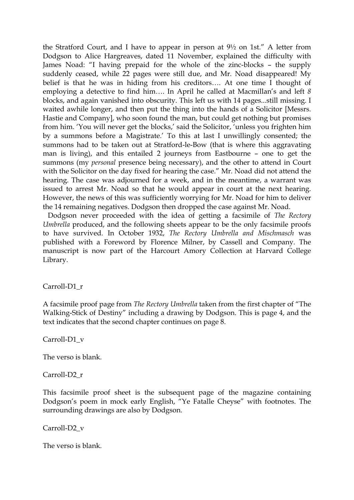the Stratford Court, and I have to appear in person at 9½ on 1st." A letter from Dodgson to Alice Hargreaves, dated 11 November, explained the difficulty with James Noad: "I having prepaid for the whole of the zinc-blocks – the supply suddenly ceased, while 22 pages were still due, and Mr. Noad disappeared! My belief is that he was in hiding from his creditors…. At one time I thought of employing a detective to find him…. In April he called at Macmillan's and left *8* blocks, and again vanished into obscurity. This left us with 14 pages...still missing. I waited awhile longer, and then put the thing into the hands of a Solicitor [Messrs. Hastie and Company], who soon found the man, but could get nothing but promises from him. 'You will never get the blocks,' said the Solicitor, 'unless you frighten him by a summons before a Magistrate.' To this at last I unwillingly consented; the summons had to be taken out at Stratford-le-Bow (that is where this aggravating man is living), and this entailed 2 journeys from Eastbourne – one to get the summons (my *personal* presence being necessary), and the other to attend in Court with the Solicitor on the day fixed for hearing the case." Mr. Noad did not attend the hearing. The case was adjourned for a week, and in the meantime, a warrant was issued to arrest Mr. Noad so that he would appear in court at the next hearing. However, the news of this was sufficiently worrying for Mr. Noad for him to deliver the 14 remaining negatives. Dodgson then dropped the case against Mr. Noad.

 Dodgson never proceeded with the idea of getting a facsimile of *The Rectory Umbrella* produced, and the following sheets appear to be the only facsimile proofs to have survived. In October 1932, *The Rectory Umbrella and Mischmasch* was published with a Foreword by Florence Milner, by Cassell and Company. The manuscript is now part of the Harcourt Amory Collection at Harvard College Library.

Carroll-D1\_r

A facsimile proof page from *The Rectory Umbrella* taken from the first chapter of "The Walking-Stick of Destiny" including a drawing by Dodgson. This is page 4, and the text indicates that the second chapter continues on page 8.

Carroll-D1\_v

The verso is blank.

Carroll-D2\_r

This facsimile proof sheet is the subsequent page of the magazine containing Dodgson's poem in mock early English, "Ye Fatalle Cheyse" with footnotes. The surrounding drawings are also by Dodgson.

Carroll-D2\_v

The verso is blank.